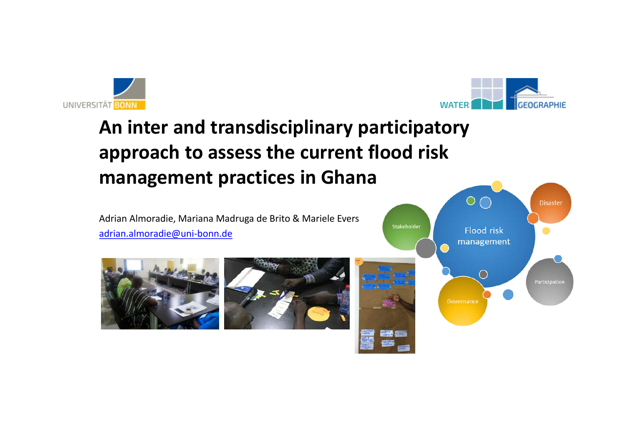



# **An inter and transdisciplinary participatory approach to assess the current flood risk management practices in Ghana**

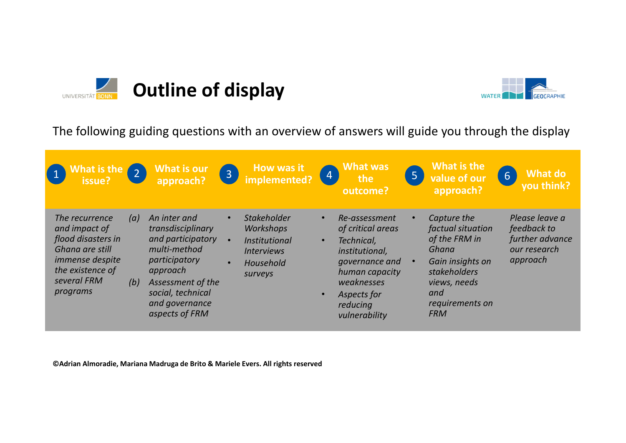



The following guiding questions with an overview of answers will guide you through the display

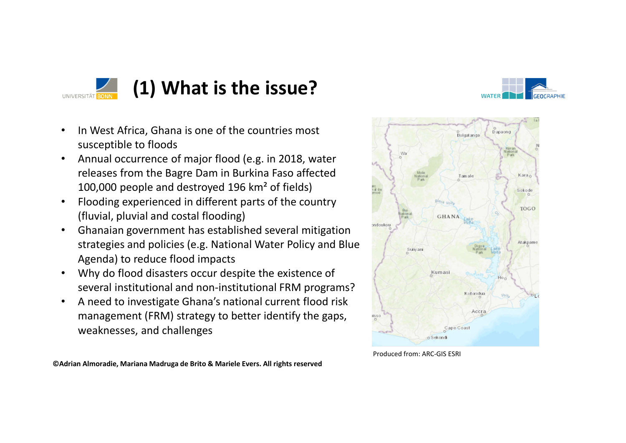

### **(1) What is the issue?**



Dapaong

- In West Africa, Ghana is one of the countries most susceptible to floods
- Annual occurrence of major flood (e.g. in 2018, water releases from the Bagre Dam in Burkina Faso affected 100,000 people and destroyed 196 km² of fields)
- Flooding experienced in different parts of the country (fluvial, pluvial and costal flooding)
- Ghanaian government has established several mitigation strategies and policies (e.g. National Water Policy and Blue Agenda) to reduce flood impacts
- Why do flood disasters occur despite the existence of several institutional and non-institutional FRM programs?
- A need to investigate Ghana's national current flood risk management (FRM) strategy to better identify the gaps, weaknesses, and challenges



Bolgatanga

Produced from: ARC-GIS ESRI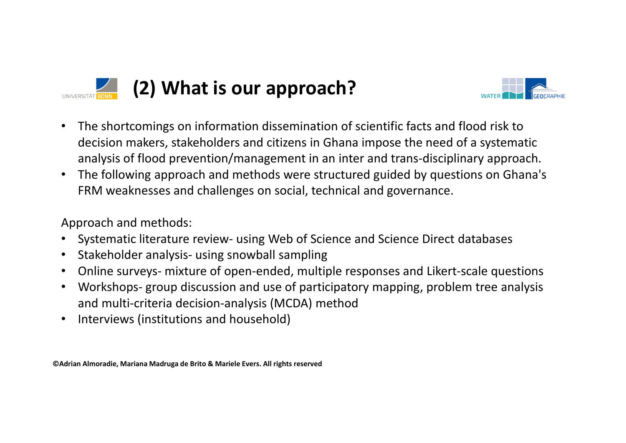



- The shortcomings on information dissemination of scientific facts and flood risk to decision makers, stakeholders and citizens in Ghana impose the need of a systematic analysis of flood prevention/management in an inter and trans-disciplinary approach.
- The following approach and methods were structured guided by questions on Ghana's FRM weaknesses and challenges on social, technical and governance.

Approach and methods:

- Systematic literature review- using Web of Science and Science Direct databases
- Stakeholder analysis- using snowball sampling
- Online surveys- mixture of open-ended, multiple responses and Likert-scale questions
- Workshops- group discussion and use of participatory mapping, problem tree analysis and multi-criteria decision-analysis (MCDA) method
- Interviews (institutions and household)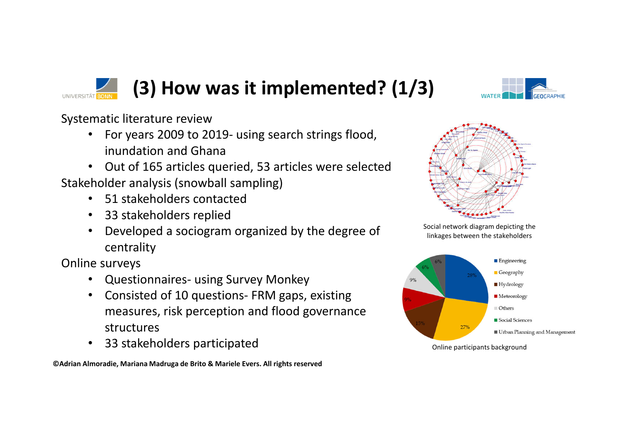

Systematic literature review

- For years 2009 to 2019- using search strings flood, inundation and Ghana
- Out of 165 articles queried, 53 articles were selected Stakeholder analysis (snowball sampling)
	- 51 stakeholders contacted
	- 33 stakeholders replied
	- Developed a sociogram organized by the degree of centrality

Online surveys

- Questionnaires- using Survey Monkey
- Consisted of 10 questions- FRM gaps, existing measures, risk perception and flood governance structures
- 33 stakeholders participated

**©Adrian Almoradie, Mariana Madruga de Brito & Mariele Evers. All rights reserved** 





Social network diagram depicting the linkages between the stakeholders



Online participants background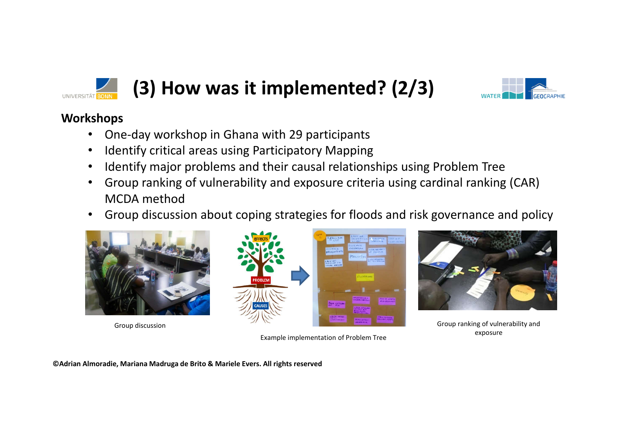

### **(3) How was it implemented? (2/3)**



#### **Workshops**

- One-day workshop in Ghana with 29 participants
- Identify critical areas using Participatory Mapping
- Identify major problems and their causal relationships using Problem Tree
- Group ranking of vulnerability and exposure criteria using cardinal ranking (CAR) MCDA method
- Group discussion about coping strategies for floods and risk governance and policy





Example implementation of Problem Tree



exposure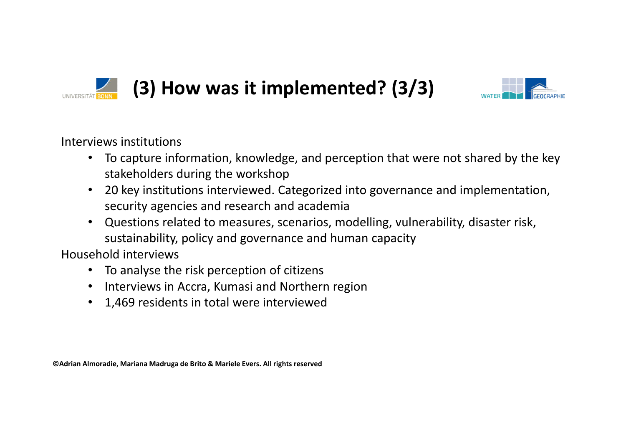

## **(3) How was it implemented? (3/3)**



Interviews institutions

- To capture information, knowledge, and perception that were not shared by the key stakeholders during the workshop
- 20 key institutions interviewed. Categorized into governance and implementation, security agencies and research and academia
- Questions related to measures, scenarios, modelling, vulnerability, disaster risk, sustainability, policy and governance and human capacity

Household interviews

- To analyse the risk perception of citizens
- Interviews in Accra, Kumasi and Northern region
- 1,469 residents in total were interviewed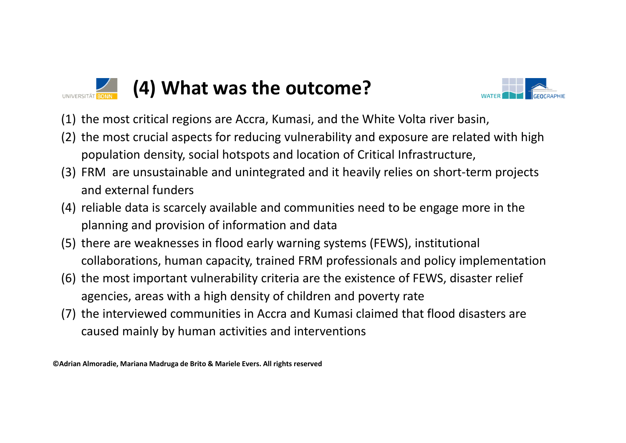

### **(4) What was the outcome?**



- (1) the most critical regions are Accra, Kumasi, and the White Volta river basin,
- (2) the most crucial aspects for reducing vulnerability and exposure are related with high population density, social hotspots and location of Critical Infrastructure,
- (3) FRM are unsustainable and unintegrated and it heavily relies on short-term projects and external funders
- (4) reliable data is scarcely available and communities need to be engage more in the planning and provision of information and data
- (5) there are weaknesses in flood early warning systems (FEWS), institutional collaborations, human capacity, trained FRM professionals and policy implementation
- (6) the most important vulnerability criteria are the existence of FEWS, disaster relief agencies, areas with a high density of children and poverty rate
- (7) the interviewed communities in Accra and Kumasi claimed that flood disasters are caused mainly by human activities and interventions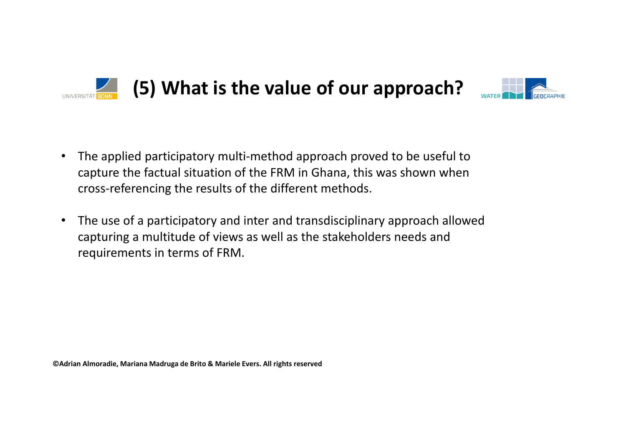



- The applied participatory multi-method approach proved to be useful to capture the factual situation of the FRM in Ghana, this was shown when cross-referencing the results of the different methods.
- The use of a participatory and inter and transdisciplinary approach allowed capturing a multitude of views as well as the stakeholders needs and requirements in terms of FRM.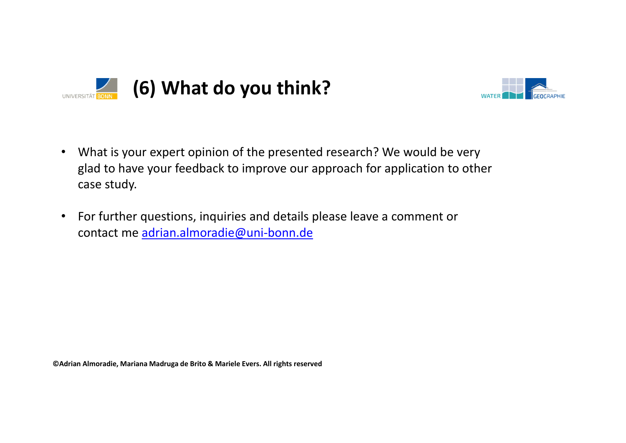



- What is your expert opinion of the presented research? We would be very glad to have your feedback to improve our approach for application to other case study.
- For further questions, inquiries and details please leave a comment or contact me adrian.almoradie@uni-bonn.de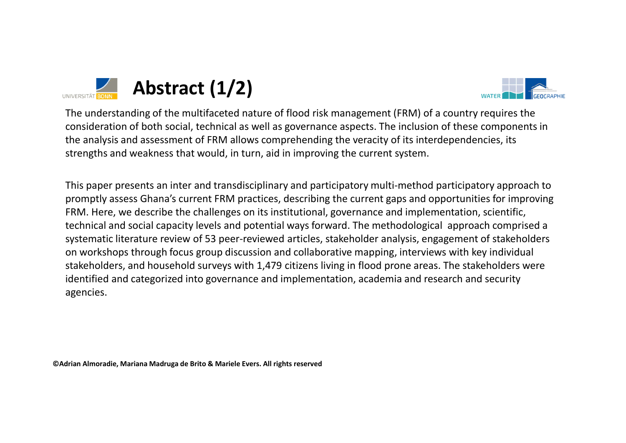



The understanding of the multifaceted nature of flood risk management (FRM) of a country requires the consideration of both social, technical as well as governance aspects. The inclusion of these components in the analysis and assessment of FRM allows comprehending the veracity of its interdependencies, its strengths and weakness that would, in turn, aid in improving the current system.

This paper presents an inter and transdisciplinary and participatory multi-method participatory approach to promptly assess Ghana's current FRM practices, describing the current gaps and opportunities for improving FRM. Here, we describe the challenges on its institutional, governance and implementation, scientific, technical and social capacity levels and potential ways forward. The methodological approach comprised a systematic literature review of 53 peer-reviewed articles, stakeholder analysis, engagement of stakeholders on workshops through focus group discussion and collaborative mapping, interviews with key individual stakeholders, and household surveys with 1,479 citizens living in flood prone areas. The stakeholders were identified and categorized into governance and implementation, academia and research and security agencies.